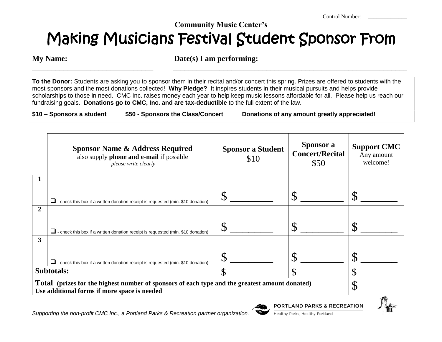Control Number:

## **Community Music Center's** Making Musicians Festival Student Sponsor From

**My Name:** Date(s) I am performing:

**\_\_\_\_\_\_\_\_\_\_\_\_\_\_\_\_\_\_\_\_\_\_\_\_\_\_\_\_\_\_\_ \_\_\_\_\_\_\_\_\_\_\_\_\_\_\_\_\_\_\_\_\_\_\_\_\_\_\_\_\_\_\_\_\_\_\_\_\_\_\_\_\_\_\_\_\_\_\_\_\_\_\_\_\_\_\_\_\_\_\_\_**

**To the Donor:** Students are asking you to sponsor them in their recital and/or concert this spring. Prizes are offered to students with the most sponsors and the most donations collected! **Why Pledge?** It inspires students in their musical pursuits and helps provide scholarships to those in need. CMC Inc. raises money each year to help keep music lessons affordable for all. Please help us reach our fundraising goals. **Donations go to CMC, Inc. and are tax-deductible** to the full extent of the law.

**\$10 – Sponsors a student \$50 - Sponsors the Class/Concert Donations of any amount greatly appreciated!**

|                                                                                                                                                | <b>Sponsor Name &amp; Address Required</b><br>also supply phone and e-mail if possible<br>please write clearly | <b>Sponsor a Student</b><br>\$10 | Sponsor a<br><b>Concert/Recital</b><br>\$50 | <b>Support CMC</b><br>Any amount<br>welcome! |
|------------------------------------------------------------------------------------------------------------------------------------------------|----------------------------------------------------------------------------------------------------------------|----------------------------------|---------------------------------------------|----------------------------------------------|
|                                                                                                                                                | $\Box$ - check this box if a written donation receipt is requested (min. \$10 donation)                        | $\mathbb{S}$                     |                                             |                                              |
| $\mathbf{2}$                                                                                                                                   | $\Box$ - check this box if a written donation receipt is requested (min. \$10 donation)                        | ${\cal S}$                       |                                             |                                              |
| 3                                                                                                                                              | $\Box$ - check this box if a written donation receipt is requested (min. \$10 donation)                        | $\mathcal{S}$                    |                                             | ιD                                           |
| $\mathcal{S}$<br>Subtotals:                                                                                                                    |                                                                                                                |                                  | ¢                                           | ╓<br>JD                                      |
| Total (prizes for the highest number of sponsors of each type and the greatest amount donated)<br>Use additional forms if more space is needed |                                                                                                                |                                  |                                             | ጥ<br>$\mathcal{D}$                           |